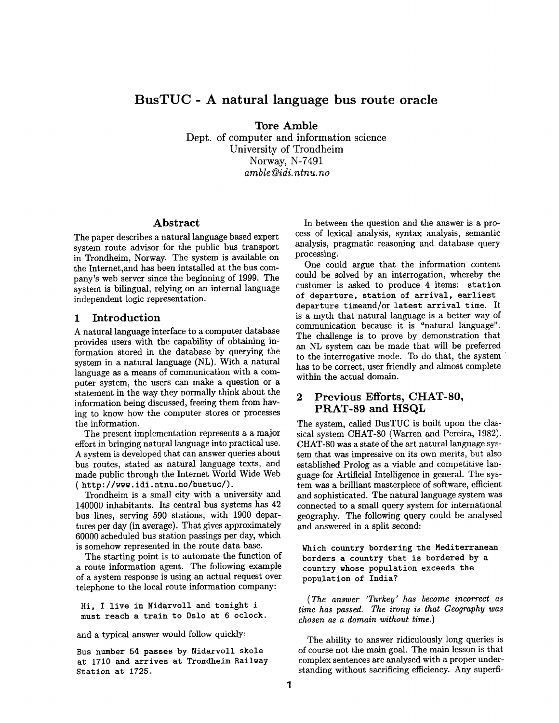# **BusTUC - A natural language bus route oracle**

**Tore** Amble

Dept. of computer and information science University of Trondheim Norway, N-7491 *amble@idi, ntnu. no* 

# **Abstract**

The paper describes a natural language based expert system route advisor for the public bus transport in Trondheim, Norway. The system is available on the Internet,and has been intstalled at the bus company's web server since the beginning of 1999. The system is bilingual, relying on an internal language independent logic representation.

## **1 Introduction**

A natural language interface to a computer database provides users with the capability of obtaining information stored in the database by querying the system in a natural language (NL). With a natural language as a means of communication with a computer system, the users can make a question or a statement in the way they normally think about the information being discussed, freeing them from having to know how the computer stores or processes the information.

The present implementation represents a a major effort in bringing natural language into practical use. A system is developed that can answer queries about bus routes, stated as natural language texts, and made public through the Internet World Wide Web ( http : //www. idi. ntnu. no/bustuc/).

Trondheim is a small city with a university and 140000 inhabitants. Its central bus systems has 42 bus lines, serving 590 stations, with 1900 departures per day (in average). That gives approximately 60000 scheduled bus station passings per day, which is somehow represented in the route data base.

The starting point is to automate the function of a route information agent. The following example of a system response is using an actual request over telephone to the local route information company:

Hi, I live in Nidarvoll and tonight i must reach a train to Oslo at 6 oclock.

and a typical answer would follow quickly:

Bus number 54 passes by Nidarvoll skole at 1710 and arrives at Trondheim Railway Station at 1725.

In between the question and the answer is a process of lexical analysis, syntax analysis, semantic analysis, pragmatic reasoning and database query processing.

One could argue that the information content could be solved by an interrogation, whereby the customer is asked to produce 4 items: station of departure, station of arrival, earliest departure timeand/or latest arrival time. It is a myth that natural language is a better way of communication because it is "natural language". The challenge is to prove by demonstration that an NL system can be made that will be preferred to the interrogative mode. To do that, the system has to be correct, user friendly and almost complete within the actual domain.

# **2 Previous Efforts, CHAT-80, PRAT-89 and HSQL**

The system, called BusTUC is built upon the classical system CHAT-80 (Warren and Pereira, 1982). CHAT-80 was a state of the art natural language system that was impressive on its own merits, but also established Prolog as a viable and competitive language for Artificial Intelligence in general. The system was a brilliant masterpiece of software, efficient and sophisticated. The natural language system was connected to a small query system for international geography. The following query could be analysed and answered in a split second:

Which country bordering the Mediterranean borders a country that is bordered by a country whose population exceeds the population of India?

*(The answer 'Turkey' has become incorrect as time has passed. The irony is that Geography was chosen as a domain without time.)* 

The ability to answer ridiculously long queries is of course not the main goal. The main lesson is that complex sentences are analysed with a proper understanding without sacrificing efficiency. Any superfi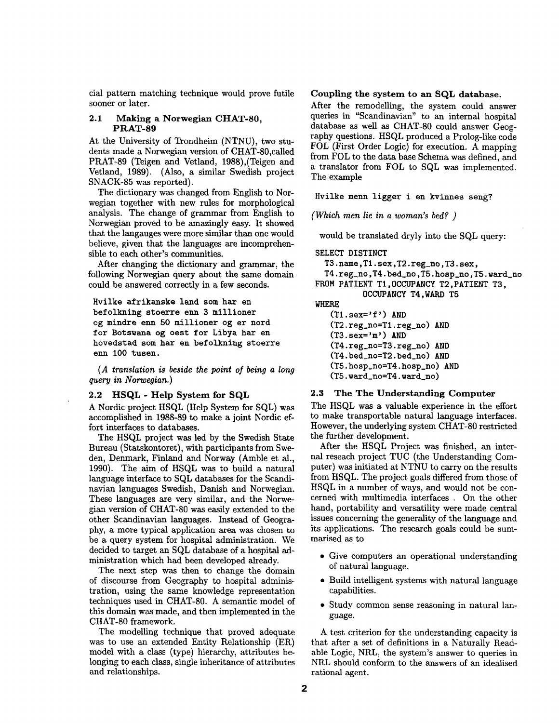cial pattern matching technique would prove futile sooner or later.

### **2.1 Making a Norwegian CHAT-80, PRAT-89**

At the University of Trondheim (NTNU), two students made a Norwegian version of CHAT-80,called PRAT-89 (Teigen and Vetland, 1988),(Teigen and Vetland, 1989). (Also, a similar Swedish project SNACK-85 was reported).

The dictionary was changed from English to Norwegian together with new rules for morphological analysis. The change of grammar from English to Norwegian proved to be amazingly easy. It showed that the langauges were more similar than one would believe, given that the languages are incomprehensible to each other's communities.

After changing the dictionary and grammar, the following Norwegian query about the same domain could be answered correctly in a few seconds.

Hvilke afrikanske land **som hat en**  befolkning stoerre enn 3 millioner **og** mindre enn 50 millioner og er **nord for Botswana og oest for Libya hat en hovedstad som hat en befolkning stoerre**  enn 100 **tusen.** 

(A translation is beside the point of being a long *query in Norwegian.)* 

#### **2.2 HSQL - Help System for SQL**

A Nordic project HSQL (Help System for SQL) was accomplished in 1988-89 to make a joint Nordic effort interfaces to databases.

The HSQL project was led by the Swedish State Bureau (Statskontoret), with participants from Sweden, Denmark, Finland and Norway (Amble et al., 1990). The aim of HSQL was to build a natural language interface to SQL databases for the Scandinavian languages Swedish, Danish and Norwegian. These languages are very similar, and the Norwegian version of CHAT-80 was easily extended to the other Scandinavian languages. Instead of Geography, a more typical application area was chosen to be a query system for hospital administration. We decided to target an SQL database of a hospital administration which had been developed already.

The next step was then to change the domain of discourse from Geography to hospital administration, using the same knowledge representation techniques used in CHAT-80. A semantic model of this domain was made, and then implemented in the CHAT-80 framework.

The modelling technique that proved adequate was to use an extended Entity Relationship (ER) model with a class (type) hierarchy, attributes belonging to each class, single inheritance of attributes and relationships.

#### **Coupling the system to an SQL database.**

After the remodelling, the system could answer queries in "Scandinavian" to an internal hospital database as well as CHAT-80 could answer Geography questions. HSQL produced a Prolog-like code FOL (First Order Logic) for execution. A mapping from FOL to the data base Schema was defined, and a translator from FOL to SQL was implemented. The example

Hvilke menn ligger i en kvinnes seng?

*(Which men lie in a woman's bed? )* 

would be translated dryly into the SQL query:

#### SELECT DISTINCT

T3.name,Tl.sex,T2.reg\_no,T3.sex,

T4.reg\_no,T4.bed\_no,T5.hosp\_no,T5.ward\_no **FROM PATIENT TI,OCCUPANCY** T2,PATIENT T3,

**OCCUPANCY** T4,WARD T5

# WHERE

 $(T1.\text{sex}='f')$  AND (T2.reg\_no=Tl.reg\_no) **AND**  (T3.sex='m') AND (T4.reg\_no=T3.reg\_no) **AND**  (T4.bed\_no=T2.bed\_no) **AND**  (T5.hosp\_no=T4.hosp\_no) AND (T5.ward\_no=T4.ward\_no)

### **2.3 The The Understanding Computer**

The HSQL was a valuable experience in the effort to make transportable natural language interfaces. However, the underlying system CHAT-80 restricted the further development.

After the HSQL Project was finished, an internal reseach project TUC (the Understanding Computer) was initiated at NTNU to carry on the results from HSQL. The project goals differed from those of HSQL in a number of ways, and would not be concerned with multimedia interfaces . On the other hand, portability and versatility were made central issues concerning the generality of the language and its applications. The research goals could be summarised as to

- Give computers an operational understanding of natural language.
- Build intelligent systems with natural language capabilities.
- Study common sense reasoning in natural language.

A test criterion for the understanding capacity is that after a set of definitions in a Naturally Readable Logic, NRL, the system's answer to queries in NRL should conform to the answers of an idealised rational agent.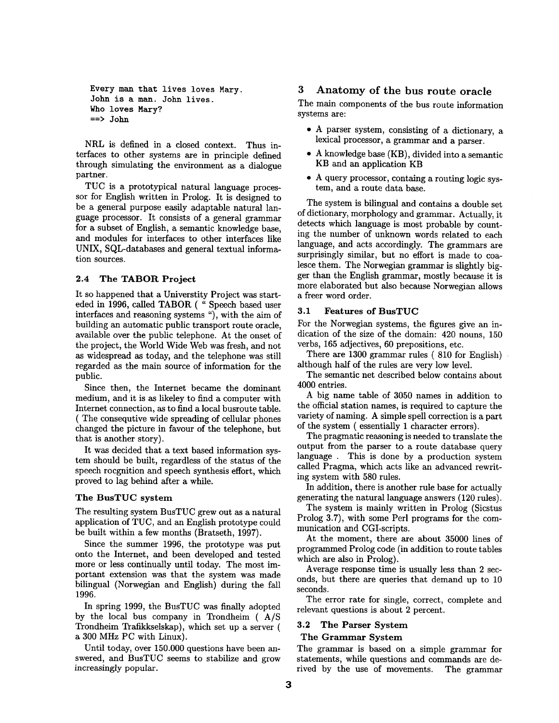```
Every man that lives loves Mary. 
John is a man. John lives. 
Who loves Mary? 
== John
```
NRL is defined in a closed context. Thus interfaces to other systems are in principle defined through simulating the environment as a dialogue partner.

TUC is a prototypical natural language processor for English written in Prolog. It is designed to be a general purpose easily adaptable natural language processor. It consists of a general grammar for a subset of English, a semantic knowledge base, and modules for interfaces to other interfaces like UNIX, SQL-databases and general textual information sources.

## 2.4 The TABOR **Project**

It so happened that a Universtity Project was starteded in 1996, called TABOR ( " Speech based user interfaces and reasoning systems "), with the aim of building an automatic public transport route oracle, available over the public telephone. At the onset of the project, the World Wide Web was fresh, and not as widespread as today, and the telephone was still regarded as the main source of information for the public.

Since then, the Internet became the dominant medium, and it is as likeley to find a computer with Internet connection, as to find a local busroute table. ( The consequtive wide spreading of cellular phones changed the picture in favour of the telephone, but that is another story).

It was decided that a text based information system should be built, regardless of the status of the speech rocgnition and speech synthesis effort, which proved to lag behind after a while.

#### **The BusTUC system**

The resulting system BusTUC grew out as a natural application of TUC, and an English prototype could be built within a few months (Bratseth, 1997).

Since the summer 1996, the prototype was put onto the Internet, and been developed and tested more or less continually until today. The most important extension was that the system was made bilingual (Norwegian and English) during the fall 1996.

In spring 1999, the BusTUC was finally adopted by the local bus company in Trondheim ( A/S Trondheim Trafikkselskap), which set up a server ( a 300 MHz PC with Linux).

Until today, over 150.000 questions have been answered, and BusTUC seems to stabilize and grow increasingly popular.

# 3 Anatomy of the bus route oracle

The main components of the bus route information systems are:

- A parser system, consisting of a dictionary, a lexical processor, a grammar and a parser.
- A knowledge base (KB), divided into a semantic KB and an application KB
- A query processor, containg a routing logic system, and a route data base.

The system is bilingual and contains a double set of dictionary, morphology and grammar. Actually, it detects which language is most probable by counting the number of unknown words related to each language, and acts accordingly. The grammars are surprisingly similar, but no effort is made to coalesce them. The Norwegian grammar is slightly bigger than the English grammar, mostly because it is more elaborated but also because Norwegian allows a freer word order.

### 3.1 Features of BusTUC

For the Norwegian systems, the figures give an indication of the size of the domain: 420 nouns, 150 verbs, 165 adjectives, 60 prepositions, etc.

There are 1300 grammar rules ( 810 for English) although half of the rules are very low level.

The semantic net described below contains about 4000 entries.

A big name table of 3050 names in addition to the official station names, is required to capture the variety of naming. A simple spell correction is a part of the system ( essentially 1 character errors).

The pragmatic reasoning is needed to translate the output from the parser to a route database query language . This is done by a production system called Pragma, which acts like an advanced rewriting system with 580 rules.

In addition, there is another rule base for actually generating the natural language answers (120 rules).

The system is mainly written in Prolog (Sicstus Prolog 3.7), with some Perl programs for the communication and CGI-scripts.

At the moment, there are about 35000 lines of programmed Prolog code (in addition to route tables which are also in Prolog).

Average response time is usually less than 2 seconds, but there are queries that demand up to 10 seconds.

The error rate for single, correct, complete and relevant questions is about 2 percent.

#### **3.2 The Parser System**

#### **The Grammar System**

The grammar is based on a simple grammar for statements, while questions and commands are derived by the use of movements. The grammar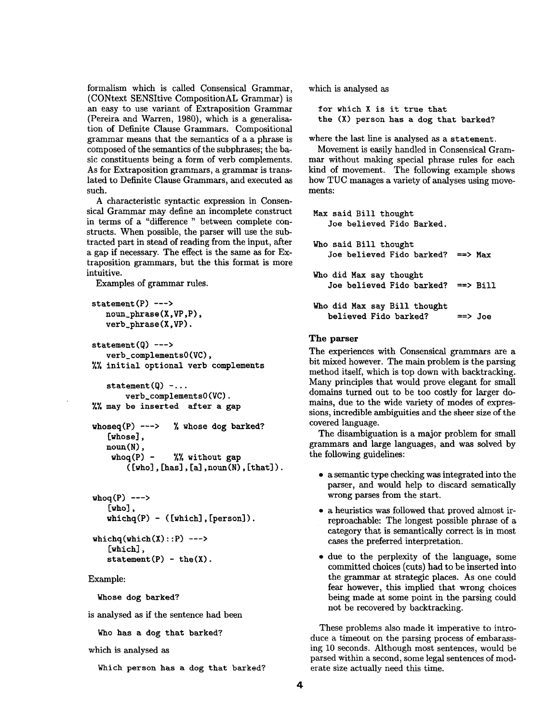formalism which is called Consensical Grammar, (CONtext SENSitive CompositionAL Grammar) is an easy to use variant of Extraposition Grammar (Pereira and Warren, 1980), which is a generalisation of Definite Clause Grammars. Compositional grammar means that the semantics of a a phrase is composed of the semantics of the subphrases; the basic constituents being a form of verb complements. As for Extraposition grammars, a grammar is translated to Definite Clause Grammars, and executed as such.

A characteristic syntactic expression in Consensical Grammar may define an incomplete construct in terms of a "difference " between complete constructs. When possible, the parser will use the subtracted part in stead of reading from the input, after a gap if necessary. The effect is the same as for Extraposition grammars, but the this format is more intuitive.

Examples of grammar rules.

```
statement(P) --->
   noun_phrase(X,VP,P), 
   verb_phrase(X,VP). 
statement(0) --->
   verb_complementsO(VC), 
%% initial optional verb complements
   statement(Q) - \ldotsverb_complementsO(VC). 
%% may be inserted after a gap
whoseq(P) ---> % whose dog barked?
   [whose], 
   noun(N),
    whoq(P) - \frac{1}{2} without gap
        ([who],[has],[a],\text{noun}(N),[that]).
```

```
\n  <i>whoq(P)</i> ----&gt;[who], 
    whichq(P) - ([which], [person]).
```

```
whichq(which(X):P) --->
   [which], 
   statement(P) - the(X).
```
#### Example:

**Whose dog barked?** 

is analysed as if the sentence had been

Who has a dog that barked?

```
which is analysed as
```
Which person has a dog that barked?

which is analysed as

for which X is it true that the (X) person has a dog that barked?

where the last line is analysed as a statement.

Movement is easily handled in Consensical Grammar without making special phrase rules for each kind of movement. The following example shows how TUC manages a variety of analyses using movements:

```
Max said Bill thought 
   Joe believed Fido Barked. 
Who said Bill thought 
   Joe believed Fido barked? ==> Max 
Who did Max say thought 
   Joe believed Fido barked? ==> Bill 
Who did Max say Bill thought 
   believed Fido barked? ==> Joe
```
# **The parser**

The experiences with Consensical grammars are a bit mixed however. The main problem is the parsing method itself, which is top down with backtracking. Many principles that would prove elegant for small domains turned out to be too costly for larger domains, due to the wide variety of modes of expressions, incredible ambiguities and the sheer size of the covered language.

The disambiguation is a major problem for small grammars and large languages, and was solved by the following guidelines:

- a semantic type checking was integrated into the parser, and would help to discard sematically wrong parses from the start.
- a heuristics was followed that proved almost irreproachable: The longest possible phrase of a category that is semantically correct is in most cases the preferred interpretation.
- due to the perplexity of the language, some committed choices (cuts) had to be inserted into the grammar at strategic places. As one could fear however, this implied that wrong choices being made at some point in the parsing could not be recovered by backtracking.

These problems also made it imperative to introduce a timeout on the parsing process of embarassing 10 seconds. Although most sentences, would be parsed within a second, some legal sentences of moderate size actually need this time.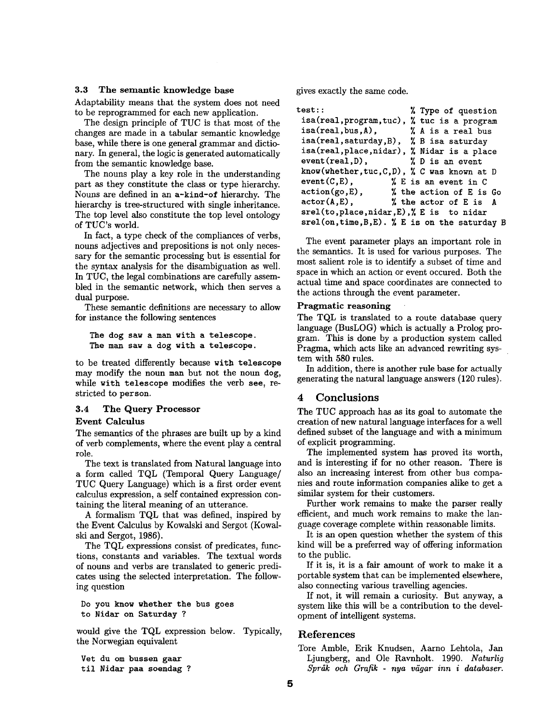### **3.3 The semantic knowledge base**

Adaptability means that the system does not need to be reprogrammed for each new application.

The design principle of TUC is that most of the changes are made in a tabular semantic knowledge base, while there is one general grammar and dictionary. In general, the logic is generated automatically from the semantic knowledge base.

The nouns play a key role in the understanding part as they constitute the class or type hierarchy. Nouns are defined in an a-kind-of hierarchy. The hierarchy is tree-structured with single inheritance. The top level also constitute the top level ontology of TUC's world.

In fact, a type check of the compliances of verbs, nouns adjectives and prepositions is not only necessary for the semantic processing but is essential for the syntax analysis for the disambiguation as well. In TUC, the legal combinations are carefully assembled in the semantic network, which then serves a dual purpose.

These semantic definitions are necessary to allow for instance the following sentences

**The dog saw a man with a telescope. The man saw a dog with a telescope.** 

to be treated differently because with **telescope**  may modify the noun man but not the noun **dog,**  while with telescope modifies the verb see, restricted to **person.** 

# **3.4 The Query Processor**

## **Event Calculus**

The semantics of the phrases are built up by a kind of verb complements, where the event play a central role.

The text is translated from Natural language into a form called TQL (Temporal Query Language/ TUC Query Language) which is a first order event calculus expression, a self contained expression containing the literal meaning of an utterance.

A formalism TQL that was defined, inspired by the Event Calculus by Kowalski and Sergot (Kowalski and Sergot, 1986).

The TQL expressions consist of predicates, functions, constants and variables. The textual words of nouns and verbs are translated to generic predicates using the selected interpretation. The following question

**Do you know whether the bus goes**  to Nidar on Saturday ?

would give the TQL expression below. Typically, the Norwegian equivalent

**Vet du om bussen gaar**  til Nidar **paa soendag** ? gives exactly the same code.

| test::<br>% Type of question                      |
|---------------------------------------------------|
| isa(real, program, tuc), % tuc is a program       |
| $isa (real, bus, A),$ % A is a real bus           |
| isa(real, saturday, B), % B isa saturday          |
| isa(real, place, nidar), % Nidar is a place       |
| $event(real, D),$ $\%$ D is an event              |
| know(whether, tuc, C, D), $\%$ C was known at D   |
| $event(C, E)$ ,<br>% E is an event in C           |
| $action(go, E)$ ,<br>% the action of E is Go      |
| $actor(A, E)$ ,<br>% the actor of E is A          |
| srel(to, place, nidar, E), X E is to nidar        |
| $srel(on, time, B, E)$ . % E is on the saturday B |

The event parameter plays an important role in the semantics. It is used for various purposes. The most salient role is to identify a subset of time and space in which an action or event occured. Both the actual time and space coordinates are connected to the actions through the event parameter.

## **Pragmatic reasoning**

The TQL is translated to a route database query language (BusLOG) which is actually a Prolog program. This is done by a production system called Pragma, which acts like an advanced rewriting system with 580 rules.

In addition, there is another rule base for actually generating the natural language answers (120 rules).

## 4 **Conclusions**

The TUC approach has as its goal to automate the creation of new natural language interfaces for a well defined subset of the language and with a minimum of explicit programming.

The implemented system has proved its worth, and is interesting if for no other reason. There is also an increasing interest from other bus companies and route information companies alike to get a similar system for their customers.

Further work remains to make the parser really efficient, and much work remains to make the language coverage complete within reasonable limits.

It is an open question whether the system of this kind will be a preferred way of offering information to the public.

If it is, it is a fair amount of work to make it a portable system that can be implemented elsewhere, also connecting various travelling agencies.

If not, it will remain a curiosity. But anyway, a system like this will be a contribution to the development of intelligent systems.

# References

Tore Amble, Erik Knudsen, Aarno Lehtola, Jan Ljungberg, and Ole Ravnholt. 1990. *Naturlig*   $Spr\aa k$  och Grafik - nya vägar inn i databaser.